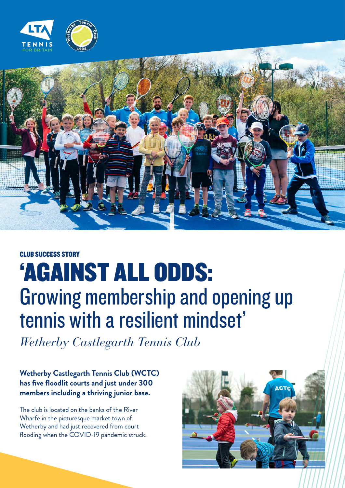



## CLUB SUCCESS STORY

## 'AGAINST ALL ODDS: Growing membership and opening up tennis with a resilient mindset'

*Wetherby Castlegarth Tennis Club*

## **Wetherby Castlegarth Tennis Club (WCTC) has five floodlit courts and just under 300 members including a thriving junior base.**

The club is located on the banks of the River Wharfe in the picturesque market town of Wetherby and had just recovered from court flooding when the COVID-19 pandemic struck.